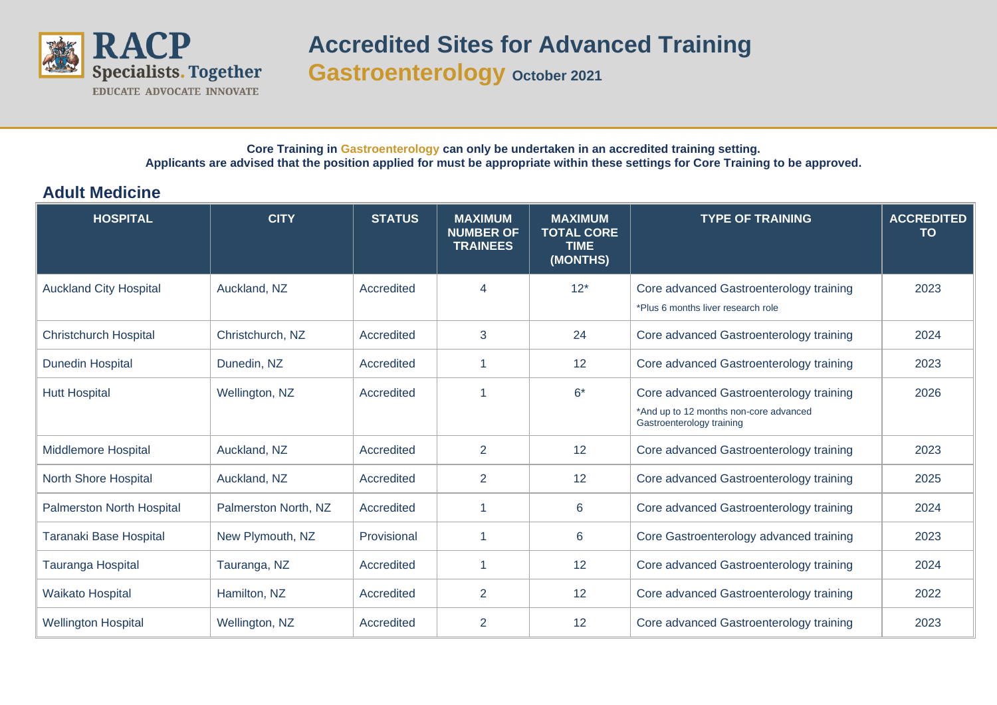

## **Core Training in Gastroenterology can only be undertaken in an accredited training setting. Applicants are advised that the position applied for must be appropriate within these settings for Core Training to be approved.**

## **Adult Medicine**

| <b>HOSPITAL</b>                  | <b>CITY</b>          | <b>STATUS</b> | <b>MAXIMUM</b><br><b>NUMBER OF</b><br><b>TRAINEES</b> | <b>MAXIMUM</b><br><b>TOTAL CORE</b><br><b>TIME</b><br>(MONTHS) | <b>TYPE OF TRAINING</b>                                                                                        | <b>ACCREDITED</b><br><b>TO</b> |
|----------------------------------|----------------------|---------------|-------------------------------------------------------|----------------------------------------------------------------|----------------------------------------------------------------------------------------------------------------|--------------------------------|
| <b>Auckland City Hospital</b>    | Auckland, NZ         | Accredited    | $\overline{4}$                                        | $12*$                                                          | Core advanced Gastroenterology training<br>*Plus 6 months liver research role                                  | 2023                           |
| <b>Christchurch Hospital</b>     | Christchurch, NZ     | Accredited    | 3                                                     | 24                                                             | Core advanced Gastroenterology training                                                                        | 2024                           |
| <b>Dunedin Hospital</b>          | Dunedin, NZ          | Accredited    |                                                       | 12                                                             | Core advanced Gastroenterology training                                                                        | 2023                           |
| <b>Hutt Hospital</b>             | Wellington, NZ       | Accredited    |                                                       | $6*$                                                           | Core advanced Gastroenterology training<br>*And up to 12 months non-core advanced<br>Gastroenterology training | 2026                           |
| <b>Middlemore Hospital</b>       | Auckland, NZ         | Accredited    | 2                                                     | 12                                                             | Core advanced Gastroenterology training                                                                        | 2023                           |
| North Shore Hospital             | Auckland, NZ         | Accredited    | $\overline{2}$                                        | 12                                                             | Core advanced Gastroenterology training                                                                        | 2025                           |
| <b>Palmerston North Hospital</b> | Palmerston North, NZ | Accredited    | $\overline{1}$                                        | 6                                                              | Core advanced Gastroenterology training                                                                        | 2024                           |
| <b>Taranaki Base Hospital</b>    | New Plymouth, NZ     | Provisional   | -1                                                    | 6                                                              | Core Gastroenterology advanced training                                                                        | 2023                           |
| Tauranga Hospital                | Tauranga, NZ         | Accredited    |                                                       | 12                                                             | Core advanced Gastroenterology training                                                                        | 2024                           |
| <b>Waikato Hospital</b>          | Hamilton, NZ         | Accredited    | $\overline{2}$                                        | 12                                                             | Core advanced Gastroenterology training                                                                        | 2022                           |
| <b>Wellington Hospital</b>       | Wellington, NZ       | Accredited    | $\overline{2}$                                        | 12                                                             | Core advanced Gastroenterology training                                                                        | 2023                           |